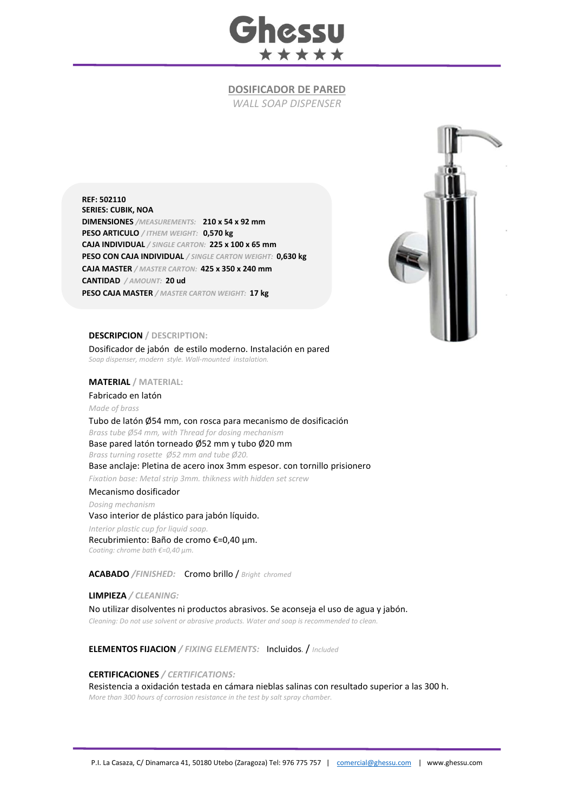

## **DOSIFICADOR DE PARED**

*WALL SOAP DISPENSER*

**REF: 502110 SERIES: CUBIK, NOA DIMENSIONES** */MEASUREMENTS:* **210 x 54 x 92 mm PESO ARTICULO** */ ITHEM WEIGHT:* **0,570 kg CAJA INDIVIDUAL** */ SINGLE CARTON:* **225 x 100 x 65 mm PESO CON CAJA INDIVIDUAL** */ SINGLE CARTON WEIGHT:* **0,630 kg CAJA MASTER** */ MASTER CARTON:* **425 x 350 x 240 mm CANTIDAD** */ AMOUNT:* **20 ud PESO CAJA MASTER** */ MASTER CARTON WEIGHT:* **17 kg**



## **DESCRIPCION / DESCRIPTION:**

Dosificador de jabón de estilo moderno. Instalación en pared *Soap dispenser, modern style. Wall-mounted instalation.*

## **MATERIAL / MATERIAL:**

Fabricado en latón *Made of brass*

Tubo de latón Ø54 mm, con rosca para mecanismo de dosificación *Brass tube Ø54 mm, with Thread for dosing mechanism* Base pared latón torneado Ø52 mm y tubo Ø20 mm *Brass turning rosette Ø52 mm and tube Ø20.* Base anclaje: Pletina de acero inox 3mm espesor. con tornillo prisionero *Fixation base: Metal strip 3mm. thikness with hidden set screw* Mecanismo dosificador *Dosing mechanism* Vaso interior de plástico para jabón líquido. *Interior plastic cup for liquid soap.* Recubrimiento: Baño de cromo €=0,40 μm. *Coating: chrome bath €=0,40 μm.*

**ACABADO** */FINISHED:*Cromo brillo / *Bright chromed*

**LIMPIEZA** */ CLEANING:* No utilizar disolventes ni productos abrasivos. Se aconseja el uso de agua y jabón. *Cleaning: Do not use solvent or abrasive products. Water and soap is recommended to clean.*

**ELEMENTOS FIJACION** */ FIXING ELEMENTS:* Incluidos*.* / *Included*

**CERTIFICACIONES** */ CERTIFICATIONS:* Resistencia a oxidación testada en cámara nieblas salinas con resultado superior a las 300 h. *More than 300 hours of corrosion resistance in the test by salt spray chamber.*